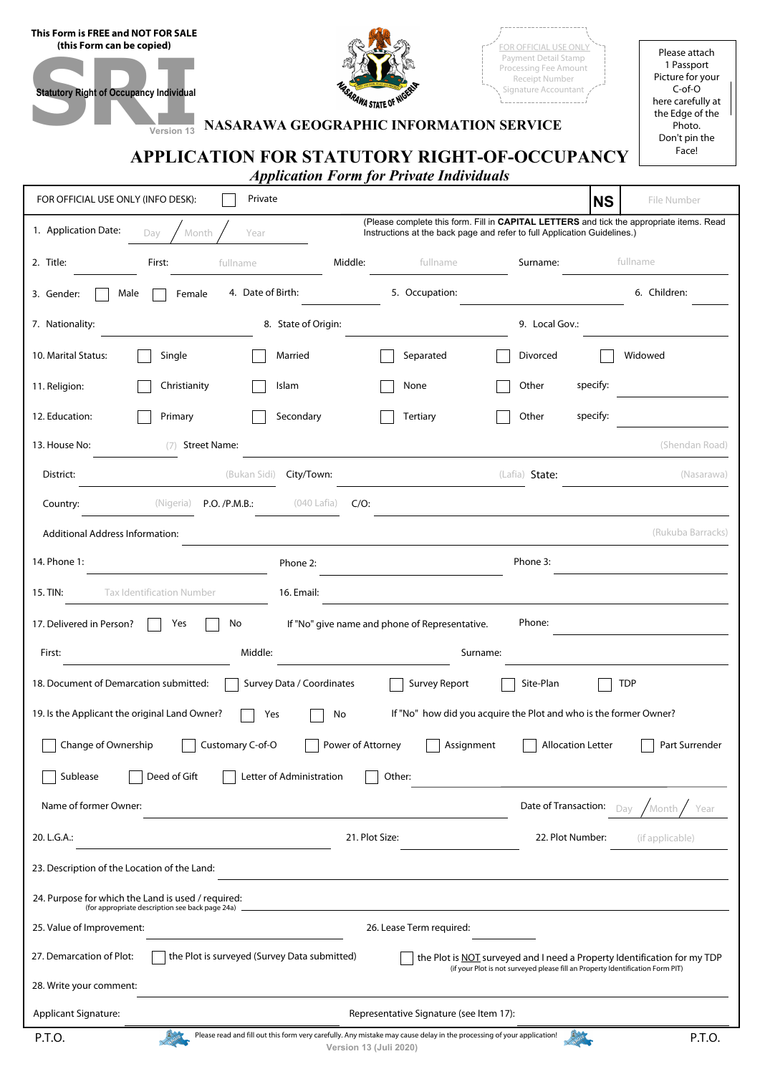| This Form is FREE and NOT FOR SALE |  |
|------------------------------------|--|
| (this Form can be copied)          |  |



FOR OFFICIAL USE ONLY Payment Detail Stamp Processing Fee Amount Receipt Number Signature Accountant 

Please attach 1 Passport Picture for your C-of-O here carefully at the Edge of the Photo. Don't pin the Face!

# **Statutory Right of Occupancy Individual Version 13 NASARAWA GEOGRAPHIC INFORMATION SERVICE**

# **APPLICATION FOR STATUTORY RIGHT-OF-OCCUPANCY**

*Application Form for Private Individuals*

| FOR OFFICIAL USE ONLY (INFO DESK):<br>Private                                                                                                                                                                                          | File Number<br><b>NS</b> |  |  |  |  |  |  |
|----------------------------------------------------------------------------------------------------------------------------------------------------------------------------------------------------------------------------------------|--------------------------|--|--|--|--|--|--|
| (Please complete this form. Fill in CAPITAL LETTERS and tick the appropriate items. Read<br>1. Application Date:<br>Year<br>Day<br>Month<br>Instructions at the back page and refer to full Application Guidelines.)                   |                          |  |  |  |  |  |  |
| Middle:<br>2. Title:<br>First:<br>fullname<br>Surname:<br>fullname                                                                                                                                                                     | fullname                 |  |  |  |  |  |  |
| 4. Date of Birth:<br>5. Occupation:<br>Male<br>Female<br>3. Gender:                                                                                                                                                                    | 6. Children:             |  |  |  |  |  |  |
| 7. Nationality:<br>8. State of Origin:<br>9. Local Gov.:                                                                                                                                                                               |                          |  |  |  |  |  |  |
| Single<br>Married<br>Separated<br>Divorced<br>10. Marital Status:                                                                                                                                                                      | Widowed                  |  |  |  |  |  |  |
| Christianity<br>Islam<br>None<br>Other<br>11. Religion:                                                                                                                                                                                | specify:                 |  |  |  |  |  |  |
| Secondary<br>Other<br>12. Education:<br>Primary<br>Tertiary                                                                                                                                                                            | specify:                 |  |  |  |  |  |  |
| 13. House No:<br><b>Street Name:</b><br>(7)                                                                                                                                                                                            | (Shendan Road)           |  |  |  |  |  |  |
| (Bukan Sidi)<br>(Lafia) State:<br>District:<br>City/Town:                                                                                                                                                                              | (Nasarawa)               |  |  |  |  |  |  |
| $(040$ Lafia)<br>(Nigeria)<br>P.O. / P.M.B.:<br>$C/O$ :<br>Country:                                                                                                                                                                    |                          |  |  |  |  |  |  |
| Additional Address Information:                                                                                                                                                                                                        | (Rukuba Barracks)        |  |  |  |  |  |  |
| 14. Phone 1:<br>Phone 3:<br>Phone 2:                                                                                                                                                                                                   |                          |  |  |  |  |  |  |
| 15. TIN:<br><b>Tax Identification Number</b><br>16. Email:                                                                                                                                                                             |                          |  |  |  |  |  |  |
| Phone:<br>17. Delivered in Person?<br>Yes<br>No<br>If "No" give name and phone of Representative.                                                                                                                                      |                          |  |  |  |  |  |  |
| Middle:<br>Surname:<br>First:                                                                                                                                                                                                          |                          |  |  |  |  |  |  |
| 18. Document of Demarcation submitted:<br>Survey Data / Coordinates<br><b>Survey Report</b><br>Site-Plan<br><b>TDP</b>                                                                                                                 |                          |  |  |  |  |  |  |
| 19. Is the Applicant the original Land Owner?<br>If "No" how did you acquire the Plot and who is the former Owner?<br>No<br>Yes                                                                                                        |                          |  |  |  |  |  |  |
| Change of Ownership<br>Customary C-of-O<br>Power of Attorney<br><b>Allocation Letter</b><br>Part Surrender<br>Assignment                                                                                                               |                          |  |  |  |  |  |  |
| Sublease<br>Deed of Gift<br>Letter of Administration<br>Other:                                                                                                                                                                         |                          |  |  |  |  |  |  |
| Name of former Owner:<br>Date of Transaction:                                                                                                                                                                                          | Month<br>Dav<br>Year     |  |  |  |  |  |  |
| 20. L.G.A.:<br>21. Plot Size:<br>22. Plot Number:                                                                                                                                                                                      | (if applicable)          |  |  |  |  |  |  |
| 23. Description of the Location of the Land:                                                                                                                                                                                           |                          |  |  |  |  |  |  |
| 24. Purpose for which the Land is used / required:<br>(for appropriate description see back page 24a)                                                                                                                                  |                          |  |  |  |  |  |  |
| 25. Value of Improvement:<br>26. Lease Term required:                                                                                                                                                                                  |                          |  |  |  |  |  |  |
| the Plot is surveyed (Survey Data submitted)<br>27. Demarcation of Plot:<br>the Plot is NOT surveyed and I need a Property Identification for my TDP<br>(if your Plot is not surveyed please fill an Property Identification Form PIT) |                          |  |  |  |  |  |  |
| 28. Write your comment:                                                                                                                                                                                                                |                          |  |  |  |  |  |  |
|                                                                                                                                                                                                                                        |                          |  |  |  |  |  |  |
| <b>Applicant Signature:</b><br>Representative Signature (see Item 17):                                                                                                                                                                 |                          |  |  |  |  |  |  |